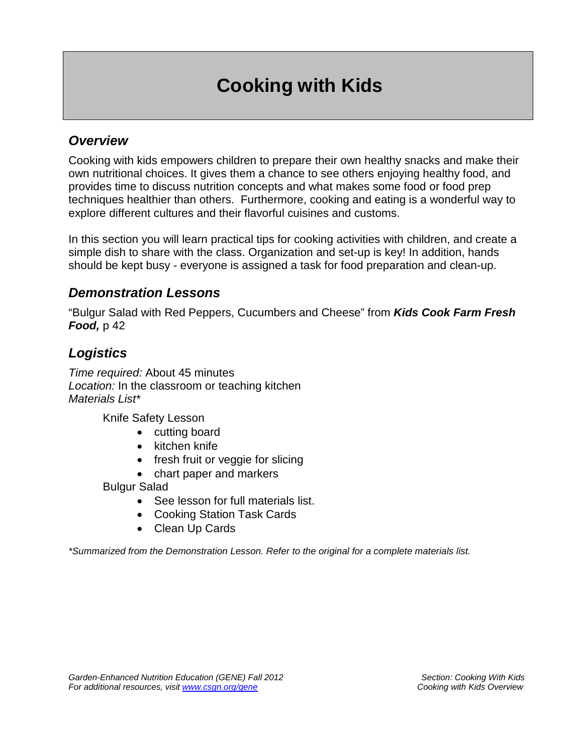## **Cooking with Kids**

## *Overview*

Cooking with kids empowers children to prepare their own healthy snacks and make their own nutritional choices. It gives them a chance to see others enjoying healthy food, and provides time to discuss nutrition concepts and what makes some food or food prep techniques healthier than others. Furthermore, cooking and eating is a wonderful way to explore different cultures and their flavorful cuisines and customs.

In this section you will learn practical tips for cooking activities with children, and create a simple dish to share with the class. Organization and set-up is key! In addition, hands should be kept busy - everyone is assigned a task for food preparation and clean-up.

## *Demonstration Lessons*

"Bulgur Salad with Red Peppers, Cucumbers and Cheese" from *Kids Cook Farm Fresh*  **Food,** p 42

## *Logistics*

*Time required:* About 45 minutes *Location:* In the classroom or teaching kitchen *Materials List\** 

Knife Safety Lesson

- cutting board
- kitchen knife
- fresh fruit or veggie for slicing
- chart paper and markers

Bulgur Salad

- See lesson for full materials list.
- Cooking Station Task Cards
- Clean Up Cards

*\*Summarized from the Demonstration Lesson. Refer to the original for a complete materials list.*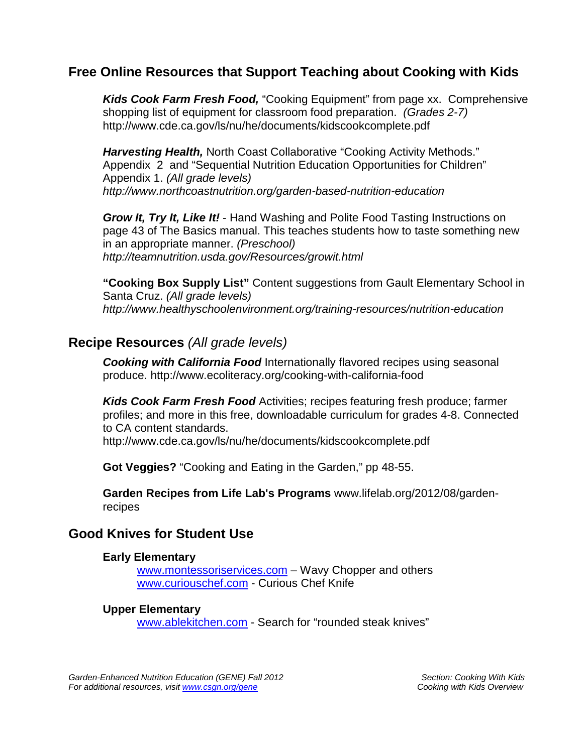## **Free Online Resources that Support Teaching about Cooking with Kids**

*Kids Cook Farm Fresh Food,* "Cooking Equipment" from page xx. Comprehensive shopping list of equipment for classroom food preparation. *(Grades 2-7)* http://www.cde.ca.gov/ls/nu/he/documents/kidscookcomplete.pdf

*Harvesting Health,* North Coast Collaborative "Cooking Activity Methods." Appendix 2 and "Sequential Nutrition Education Opportunities for Children" Appendix 1. *(All grade levels) http://www.northcoastnutrition.org/garden-based-nutrition-education*

*Grow It, Try It, Like It!* - Hand Washing and Polite Food Tasting Instructions on page 43 of The Basics manual. This teaches students how to taste something new in an appropriate manner. *(Preschool) http://teamnutrition.usda.gov/Resources/growit.html*

**"Cooking Box Supply List"** Content suggestions from Gault Elementary School in Santa Cruz. *(All grade levels) http://www.healthyschoolenvironment.org/training-resources/nutrition-education*

#### **Recipe Resources** *(All grade levels)*

*Cooking with California Food* Internationally flavored recipes using seasonal produce. http://www.ecoliteracy.org/cooking-with-california-food

*Kids Cook Farm Fresh Food* Activities; recipes featuring fresh produce; farmer profiles; and more in this free, downloadable curriculum for grades 4-8. Connected to CA content standards.

http://www.cde.ca.gov/ls/nu/he/documents/kidscookcomplete.pdf

**Got Veggies?** "Cooking and Eating in the Garden," pp 48-55.

**Garden Recipes from Life Lab's Programs** www.lifelab.org/2012/08/gardenrecipes

#### **Good Knives for Student Use**

#### **Early Elementary**

[www.montessoriservices.com](http://www.montessoriservices.com/) – Wavy Chopper and others [www.curiouschef.com](http://www.curiouschef.com/) - Curious Chef Knife

#### **Upper Elementary**

[www.ablekitchen.com](http://www.ablekitchen.com/) - Search for "rounded steak knives"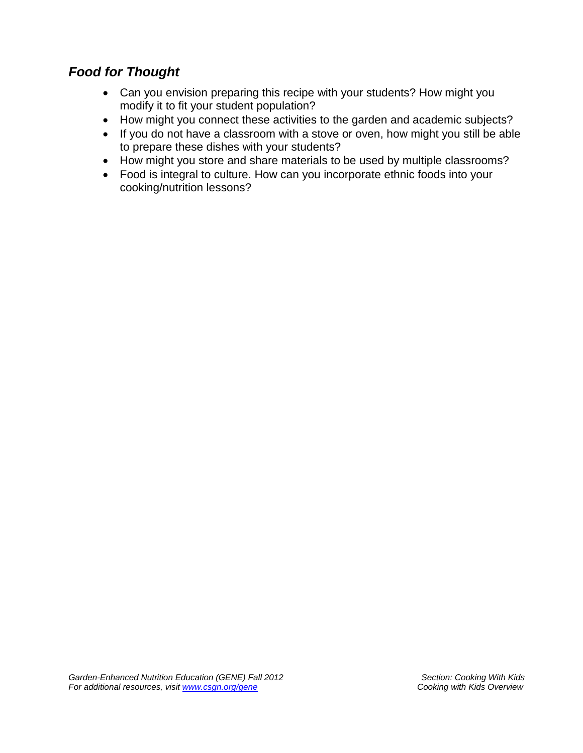## *Food for Thought*

- Can you envision preparing this recipe with your students? How might you modify it to fit your student population?
- How might you connect these activities to the garden and academic subjects?
- If you do not have a classroom with a stove or oven, how might you still be able to prepare these dishes with your students?
- How might you store and share materials to be used by multiple classrooms?
- Food is integral to culture. How can you incorporate ethnic foods into your cooking/nutrition lessons?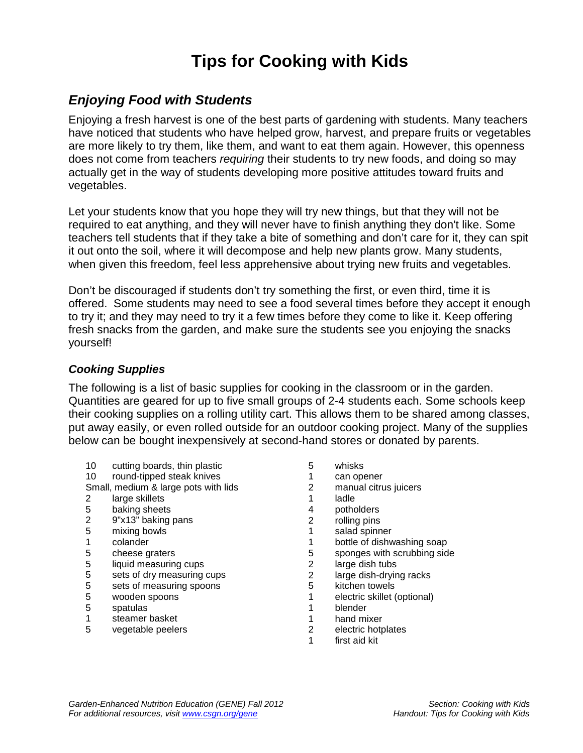## **Tips for Cooking with Kids**

## *Enjoying Food with Students*

Enjoying a fresh harvest is one of the best parts of gardening with students. Many teachers have noticed that students who have helped grow, harvest, and prepare fruits or vegetables are more likely to try them, like them, and want to eat them again. However, this openness does not come from teachers *requiring* their students to try new foods, and doing so may actually get in the way of students developing more positive attitudes toward fruits and vegetables.

Let your students know that you hope they will try new things, but that they will not be required to eat anything, and they will never have to finish anything they don't like. Some teachers tell students that if they take a bite of something and don't care for it, they can spit it out onto the soil, where it will decompose and help new plants grow. Many students, when given this freedom, feel less apprehensive about trying new fruits and vegetables.

Don't be discouraged if students don't try something the first, or even third, time it is offered. Some students may need to see a food several times before they accept it enough to try it; and they may need to try it a few times before they come to like it. Keep offering fresh snacks from the garden, and make sure the students see you enjoying the snacks yourself!

#### *Cooking Supplies*

The following is a list of basic supplies for cooking in the classroom or in the garden. Quantities are geared for up to five small groups of 2-4 students each. Some schools keep their cooking supplies on a rolling utility cart. This allows them to be shared among classes, put away easily, or even rolled outside for an outdoor cooking project. Many of the supplies below can be bought inexpensively at second-hand stores or donated by parents.

- 10 cutting boards, thin plastic
- 10 round-tipped steak knives
- Small, medium & large pots with lids
- 2 large skillets
- 5 baking sheets
- 2 9"x13" baking pans
- 5 mixing bowls
- 1 colander
- 5 cheese graters
- 5 liquid measuring cups
- 5 sets of dry measuring cups<br>5 sets of measuring spoons
- sets of measuring spoons
- 5 wooden spoons
- 5 spatulas
- 1 steamer basket
- 5 vegetable peelers
- 5 whisks
- 1 can opener<br>2 manual citru
- manual citrus juicers
- 1 ladle
- 4 potholders<br>2 rolling pins
- rolling pins
- 1 salad spinner
- 
- 1 bottle of dishwashing soap<br>5 sponges with scrubbing sid 5 sponges with scrubbing side<br>2 large dish tubs
- 2 large dish tubs<br>2 large dish-dryin
- 2 large dish-drying racks<br>5 kitchen towels
- kitchen towels
- 1 electric skillet (optional)
- 1 blender<br>1 hand mi
- 1 hand mixer<br>2 electric hott
- 2 electric hotplates
- 1 first aid kit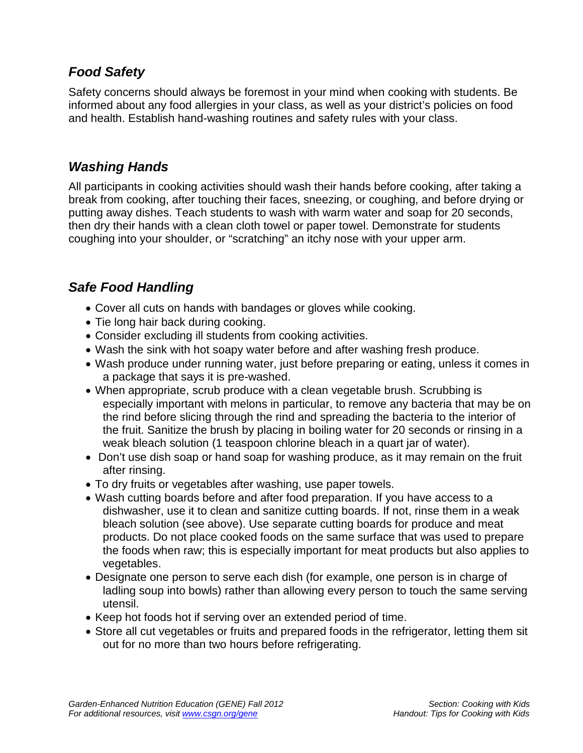## *Food Safety*

Safety concerns should always be foremost in your mind when cooking with students. Be informed about any food allergies in your class, as well as your district's policies on food and health. Establish hand-washing routines and safety rules with your class.

### *Washing Hands*

All participants in cooking activities should wash their hands before cooking, after taking a break from cooking, after touching their faces, sneezing, or coughing, and before drying or putting away dishes. Teach students to wash with warm water and soap for 20 seconds, then dry their hands with a clean cloth towel or paper towel. Demonstrate for students coughing into your shoulder, or "scratching" an itchy nose with your upper arm.

## *Safe Food Handling*

- Cover all cuts on hands with bandages or gloves while cooking.
- Tie long hair back during cooking.
- Consider excluding ill students from cooking activities.
- Wash the sink with hot soapy water before and after washing fresh produce.
- Wash produce under running water, just before preparing or eating, unless it comes in a package that says it is pre-washed.
- When appropriate, scrub produce with a clean vegetable brush. Scrubbing is especially important with melons in particular, to remove any bacteria that may be on the rind before slicing through the rind and spreading the bacteria to the interior of the fruit. Sanitize the brush by placing in boiling water for 20 seconds or rinsing in a weak bleach solution (1 teaspoon chlorine bleach in a quart jar of water).
- Don't use dish soap or hand soap for washing produce, as it may remain on the fruit after rinsing.
- To dry fruits or vegetables after washing, use paper towels.
- Wash cutting boards before and after food preparation. If you have access to a dishwasher, use it to clean and sanitize cutting boards. If not, rinse them in a weak bleach solution (see above). Use separate cutting boards for produce and meat products. Do not place cooked foods on the same surface that was used to prepare the foods when raw; this is especially important for meat products but also applies to vegetables.
- Designate one person to serve each dish (for example, one person is in charge of ladling soup into bowls) rather than allowing every person to touch the same serving utensil.
- Keep hot foods hot if serving over an extended period of time.
- Store all cut vegetables or fruits and prepared foods in the refrigerator, letting them sit out for no more than two hours before refrigerating.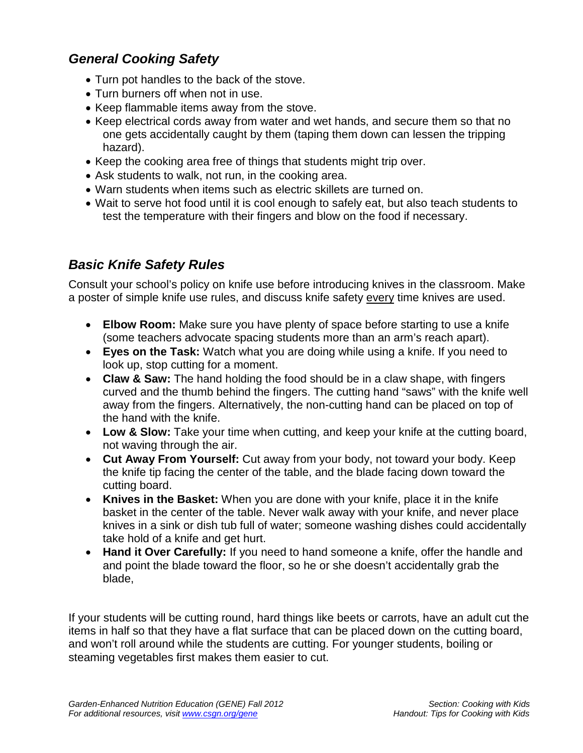## *General Cooking Safety*

- Turn pot handles to the back of the stove.
- Turn burners off when not in use.
- Keep flammable items away from the stove.
- Keep electrical cords away from water and wet hands, and secure them so that no one gets accidentally caught by them (taping them down can lessen the tripping hazard).
- Keep the cooking area free of things that students might trip over.
- Ask students to walk, not run, in the cooking area.
- Warn students when items such as electric skillets are turned on.
- Wait to serve hot food until it is cool enough to safely eat, but also teach students to test the temperature with their fingers and blow on the food if necessary.

## *Basic Knife Safety Rules*

Consult your school's policy on knife use before introducing knives in the classroom. Make a poster of simple knife use rules, and discuss knife safety every time knives are used.

- **Elbow Room:** Make sure you have plenty of space before starting to use a knife (some teachers advocate spacing students more than an arm's reach apart).
- **Eyes on the Task:** Watch what you are doing while using a knife. If you need to look up, stop cutting for a moment.
- **Claw & Saw:** The hand holding the food should be in a claw shape, with fingers curved and the thumb behind the fingers. The cutting hand "saws" with the knife well away from the fingers. Alternatively, the non-cutting hand can be placed on top of the hand with the knife.
- **Low & Slow:** Take your time when cutting, and keep your knife at the cutting board, not waving through the air.
- **Cut Away From Yourself:** Cut away from your body, not toward your body. Keep the knife tip facing the center of the table, and the blade facing down toward the cutting board.
- **Knives in the Basket:** When you are done with your knife, place it in the knife basket in the center of the table. Never walk away with your knife, and never place knives in a sink or dish tub full of water; someone washing dishes could accidentally take hold of a knife and get hurt.
- **Hand it Over Carefully:** If you need to hand someone a knife, offer the handle and and point the blade toward the floor, so he or she doesn't accidentally grab the blade,

If your students will be cutting round, hard things like beets or carrots, have an adult cut the items in half so that they have a flat surface that can be placed down on the cutting board, and won't roll around while the students are cutting. For younger students, boiling or steaming vegetables first makes them easier to cut.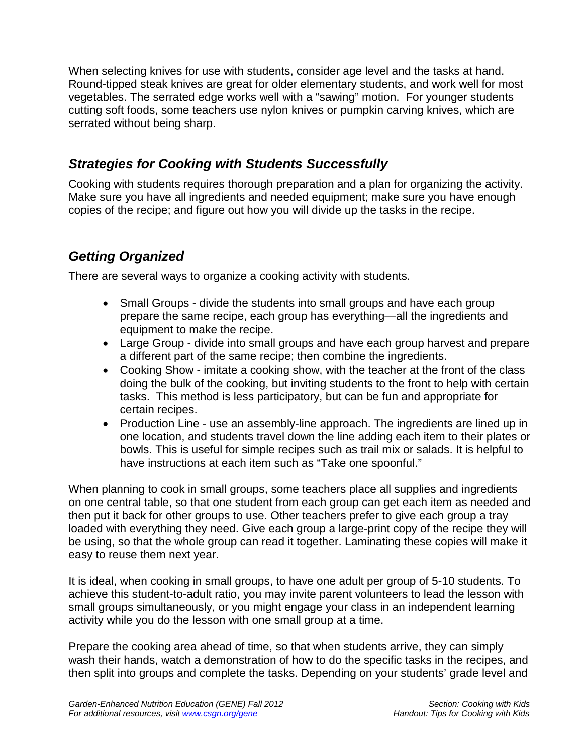When selecting knives for use with students, consider age level and the tasks at hand. Round-tipped steak knives are great for older elementary students, and work well for most vegetables. The serrated edge works well with a "sawing" motion. For younger students cutting soft foods, some teachers use nylon knives or pumpkin carving knives, which are serrated without being sharp.

## *Strategies for Cooking with Students Successfully*

Cooking with students requires thorough preparation and a plan for organizing the activity. Make sure you have all ingredients and needed equipment; make sure you have enough copies of the recipe; and figure out how you will divide up the tasks in the recipe.

## *Getting Organized*

There are several ways to organize a cooking activity with students.

- Small Groups divide the students into small groups and have each group prepare the same recipe, each group has everything—all the ingredients and equipment to make the recipe.
- Large Group divide into small groups and have each group harvest and prepare a different part of the same recipe; then combine the ingredients.
- Cooking Show imitate a cooking show, with the teacher at the front of the class doing the bulk of the cooking, but inviting students to the front to help with certain tasks. This method is less participatory, but can be fun and appropriate for certain recipes.
- Production Line use an assembly-line approach. The ingredients are lined up in one location, and students travel down the line adding each item to their plates or bowls. This is useful for simple recipes such as trail mix or salads. It is helpful to have instructions at each item such as "Take one spoonful."

When planning to cook in small groups, some teachers place all supplies and ingredients on one central table, so that one student from each group can get each item as needed and then put it back for other groups to use. Other teachers prefer to give each group a tray loaded with everything they need. Give each group a large-print copy of the recipe they will be using, so that the whole group can read it together. Laminating these copies will make it easy to reuse them next year.

It is ideal, when cooking in small groups, to have one adult per group of 5-10 students. To achieve this student-to-adult ratio, you may invite parent volunteers to lead the lesson with small groups simultaneously, or you might engage your class in an independent learning activity while you do the lesson with one small group at a time.

Prepare the cooking area ahead of time, so that when students arrive, they can simply wash their hands, watch a demonstration of how to do the specific tasks in the recipes, and then split into groups and complete the tasks. Depending on your students' grade level and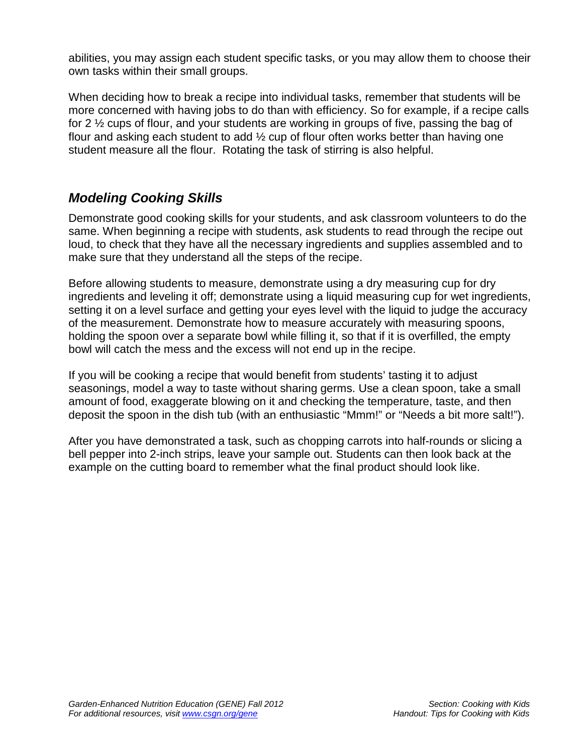abilities, you may assign each student specific tasks, or you may allow them to choose their own tasks within their small groups.

When deciding how to break a recipe into individual tasks, remember that students will be more concerned with having jobs to do than with efficiency. So for example, if a recipe calls for 2 ½ cups of flour, and your students are working in groups of five, passing the bag of flour and asking each student to add ½ cup of flour often works better than having one student measure all the flour. Rotating the task of stirring is also helpful.

## *Modeling Cooking Skills*

Demonstrate good cooking skills for your students, and ask classroom volunteers to do the same. When beginning a recipe with students, ask students to read through the recipe out loud, to check that they have all the necessary ingredients and supplies assembled and to make sure that they understand all the steps of the recipe.

Before allowing students to measure, demonstrate using a dry measuring cup for dry ingredients and leveling it off; demonstrate using a liquid measuring cup for wet ingredients, setting it on a level surface and getting your eyes level with the liquid to judge the accuracy of the measurement. Demonstrate how to measure accurately with measuring spoons, holding the spoon over a separate bowl while filling it, so that if it is overfilled, the empty bowl will catch the mess and the excess will not end up in the recipe.

If you will be cooking a recipe that would benefit from students' tasting it to adjust seasonings, model a way to taste without sharing germs. Use a clean spoon, take a small amount of food, exaggerate blowing on it and checking the temperature, taste, and then deposit the spoon in the dish tub (with an enthusiastic "Mmm!" or "Needs a bit more salt!").

After you have demonstrated a task, such as chopping carrots into half-rounds or slicing a bell pepper into 2-inch strips, leave your sample out. Students can then look back at the example on the cutting board to remember what the final product should look like.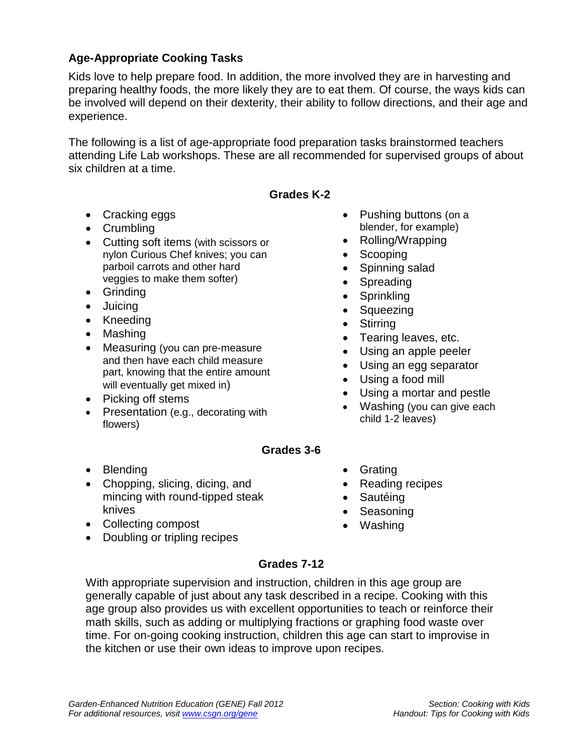### **Age-Appropriate Cooking Tasks**

Kids love to help prepare food. In addition, the more involved they are in harvesting and preparing healthy foods, the more likely they are to eat them. Of course, the ways kids can be involved will depend on their dexterity, their ability to follow directions, and their age and experience.

The following is a list of age-appropriate food preparation tasks brainstormed teachers attending Life Lab workshops. These are all recommended for supervised groups of about six children at a time.

#### **Grades K-2**

- Cracking eggs
- Crumbling
- Cutting soft items (with scissors or nylon Curious Chef knives; you can parboil carrots and other hard veggies to make them softer)
- Grinding
- Juicing
- Kneeding
- Mashing
- Measuring (you can pre-measure and then have each child measure part, knowing that the entire amount will eventually get mixed in)
- Picking off stems
- Presentation (e.g., decorating with flowers)
- Pushing buttons (on a blender, for example)
- Rolling/Wrapping
- **Scooping**
- Spinning salad
- Spreading
- Sprinkling
- Squeezing
- Stirring
- Tearing leaves, etc.
- Using an apple peeler
- Using an egg separator
- Using a food mill
- Using a mortar and pestle
- Washing (you can give each child 1-2 leaves)

#### **Grades 3-6**

- Blending
- Chopping, slicing, dicing, and mincing with round-tipped steak knives
- Collecting compost
- Doubling or tripling recipes
- Grating
- Reading recipes
- Sautéing
- Seasoning
- Washing

#### **Grades 7-12**

With appropriate supervision and instruction, children in this age group are generally capable of just about any task described in a recipe. Cooking with this age group also provides us with excellent opportunities to teach or reinforce their math skills, such as adding or multiplying fractions or graphing food waste over time. For on-going cooking instruction, children this age can start to improvise in the kitchen or use their own ideas to improve upon recipes.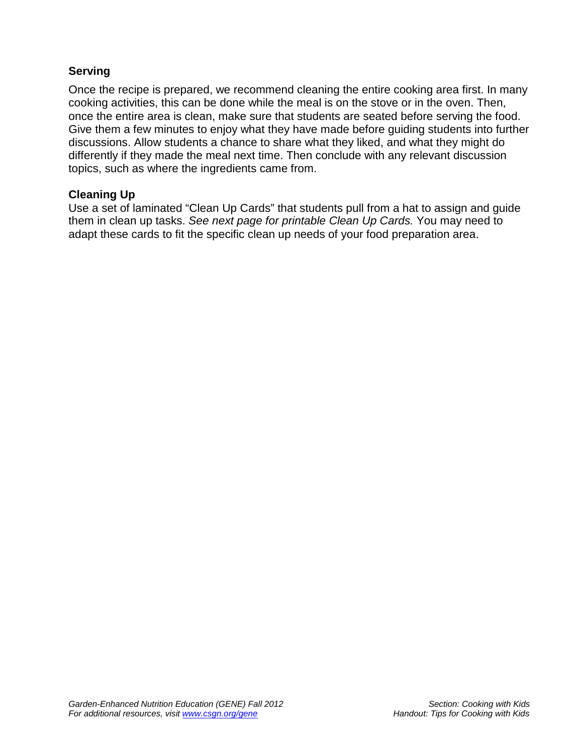#### **Serving**

Once the recipe is prepared, we recommend cleaning the entire cooking area first. In many cooking activities, this can be done while the meal is on the stove or in the oven. Then, once the entire area is clean, make sure that students are seated before serving the food. Give them a few minutes to enjoy what they have made before guiding students into further discussions. Allow students a chance to share what they liked, and what they might do differently if they made the meal next time. Then conclude with any relevant discussion topics, such as where the ingredients came from.

#### **Cleaning Up**

Use a set of laminated "Clean Up Cards" that students pull from a hat to assign and guide them in clean up tasks. *See next page for printable Clean Up Cards.* You may need to adapt these cards to fit the specific clean up needs of your food preparation area.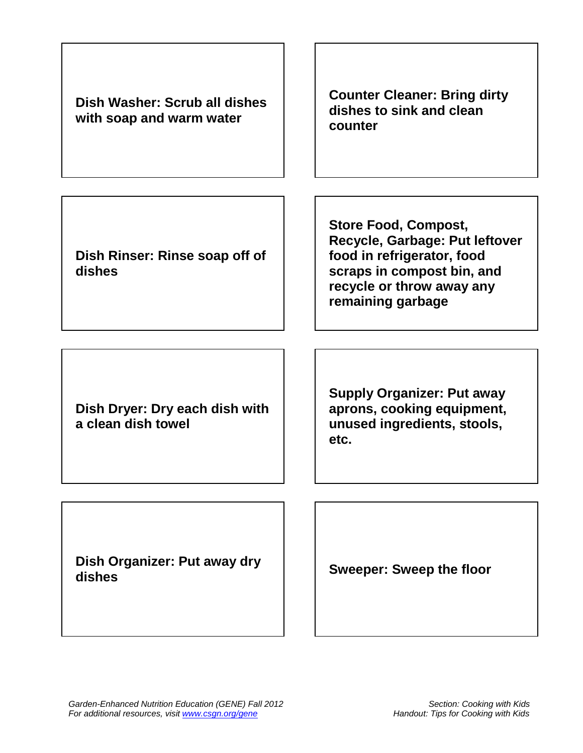| Dish Washer: Scrub all dishes<br>with soap and warm water | <b>Counter Cleaner: Bring dirty</b><br>dishes to sink and clean<br>counter                                                                                                  |
|-----------------------------------------------------------|-----------------------------------------------------------------------------------------------------------------------------------------------------------------------------|
| Dish Rinser: Rinse soap off of<br>dishes                  | <b>Store Food, Compost,</b><br>Recycle, Garbage: Put leftover<br>food in refrigerator, food<br>scraps in compost bin, and<br>recycle or throw away any<br>remaining garbage |
| Dish Dryer: Dry each dish with<br>a clean dish towel      | <b>Supply Organizer: Put away</b><br>aprons, cooking equipment,<br>unused ingredients, stools,<br>etc.                                                                      |
| Dish Organizer: Put away dry<br>dishes                    | <b>Sweeper: Sweep the floor</b>                                                                                                                                             |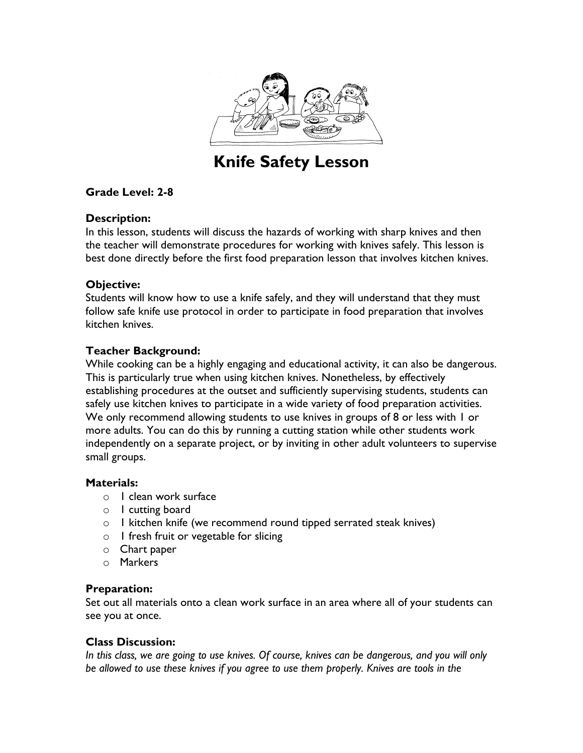

## Knife Safety Lesson

#### Grade Level: 2-8

#### Description:

In this lesson, students will discuss the hazards of working with sharp knives and then the teacher will demonstrate procedures for working with knives safely. This lesson is best done directly before the first food preparation lesson that involves kitchen knives.

#### Objective:

Students will know how to use a knife safely, and they will understand that they must follow safe knife use protocol in order to participate in food preparation that involves kitchen knives.

#### Teacher Background:

While cooking can be a highly engaging and educational activity, it can also be dangerous. This is particularly true when using kitchen knives. Nonetheless, by effectively establishing procedures at the outset and sufficiently supervising students, students can safely use kitchen knives to participate in a wide variety of food preparation activities. We only recommend allowing students to use knives in groups of 8 or less with 1 or more adults. You can do this by running a cutting station while other students work independently on a separate project, or by inviting in other adult volunteers to supervise small groups.

#### Materials:

- o 1 clean work surface
- o 1 cutting board
- o 1 kitchen knife (we recommend round tipped serrated steak knives)
- $\circ$  1 fresh fruit or vegetable for slicing
- o Chart paper
- o Markers

#### Preparation:

Set out all materials onto a clean work surface in an area where all of your students can see you at once.

#### Class Discussion:

In this class, we are going to use knives. Of course, knives can be dangerous, and you will only be allowed to use these knives if you agree to use them properly. Knives are tools in the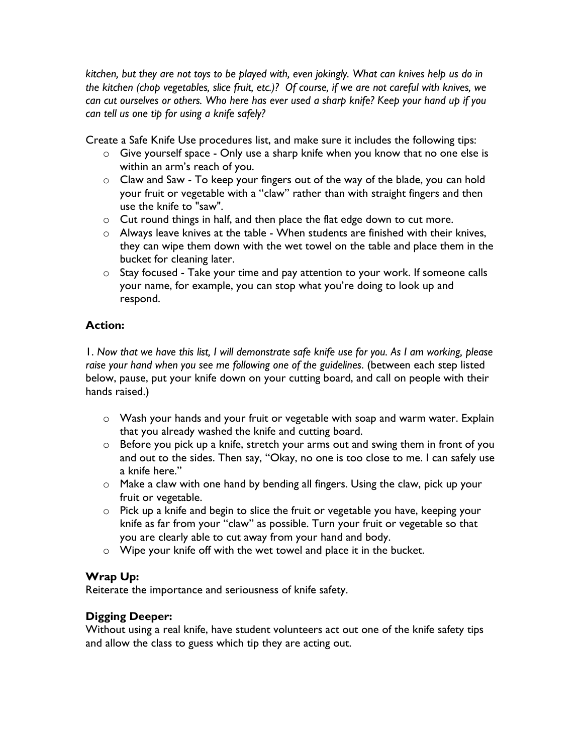kitchen, but they are not toys to be played with, even jokingly. What can knives help us do in the kitchen (chop vegetables, slice fruit, etc.)? Of course, if we are not careful with knives, we can cut ourselves or others. Who here has ever used a sharp knife? Keep your hand up if you can tell us one tip for using a knife safely?

Create a Safe Knife Use procedures list, and make sure it includes the following tips:

- o Give yourself space Only use a sharp knife when you know that no one else is within an arm's reach of you.
- o Claw and Saw To keep your fingers out of the way of the blade, you can hold your fruit or vegetable with a "claw" rather than with straight fingers and then use the knife to "saw".
- o Cut round things in half, and then place the flat edge down to cut more.
- $\circ$  Always leave knives at the table When students are finished with their knives, they can wipe them down with the wet towel on the table and place them in the bucket for cleaning later.
- $\circ$  Stay focused Take your time and pay attention to your work. If someone calls your name, for example, you can stop what you're doing to look up and respond.

### Action:

1. Now that we have this list, I will demonstrate safe knife use for you. As I am working, please raise your hand when you see me following one of the guidelines. (between each step listed below, pause, put your knife down on your cutting board, and call on people with their hands raised.)

- o Wash your hands and your fruit or vegetable with soap and warm water. Explain that you already washed the knife and cutting board.
- o Before you pick up a knife, stretch your arms out and swing them in front of you and out to the sides. Then say, "Okay, no one is too close to me. I can safely use a knife here."
- $\circ$  Make a claw with one hand by bending all fingers. Using the claw, pick up your fruit or vegetable.
- o Pick up a knife and begin to slice the fruit or vegetable you have, keeping your knife as far from your "claw" as possible. Turn your fruit or vegetable so that you are clearly able to cut away from your hand and body.
- o Wipe your knife off with the wet towel and place it in the bucket.

#### Wrap Up:

Reiterate the importance and seriousness of knife safety.

#### Digging Deeper:

Without using a real knife, have student volunteers act out one of the knife safety tips and allow the class to guess which tip they are acting out.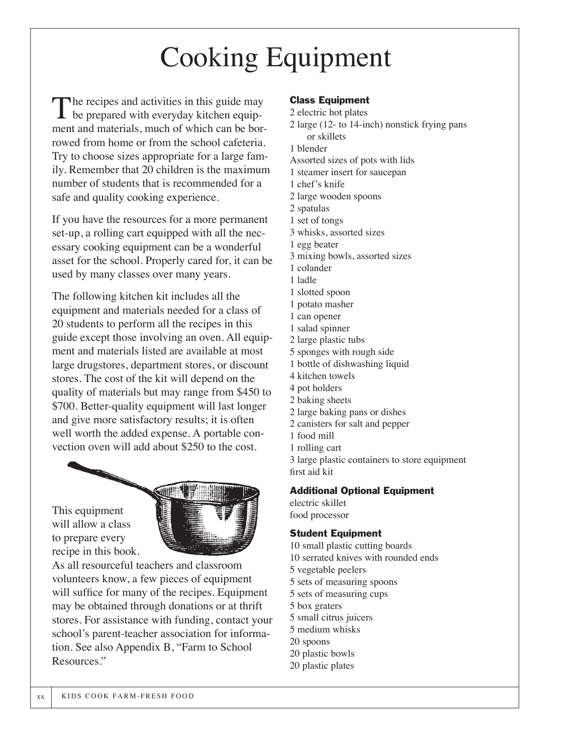## Cooking Equipment

The recipes and activities in this guide may<br>be prepared with everyday kitchen equipment and materials, much of which can be borrowed from home or from the school cafeteria. Try to choose sizes appropriate for a large family. Remember that 20 children is the maximum number of students that is recommended for a safe and quality cooking experience.

If you have the resources for a more permanent set-up, a rolling cart equipped with all the necessary cooking equipment can be a wonderful asset for the school. Properly cared for, it can be used by many classes over many years.

The following kitchen kit includes all the equipment and materials needed for a class of 20 students to perform all the recipes in this guide except those involving an oven. All equipment and materials listed are available at most large drugstores, department stores, or discount stores. The cost of the kit will depend on the quality of materials but may range from \$450 to \$700. Better-quality equipment will last longer and give more satisfactory results; it is often well worth the added expense. A portable convection oven will add about \$250 to the cost.

This equipment will allow a class to prepare every recipe in this book.



As all resourceful teachers and classroom volunteers know, a few pieces of equipment will suffice for many of the recipes. Equipment may be obtained through donations or at thrift stores. For assistance with funding, contact your school's parent-teacher association for information. See also Appendix B, "Farm to School Resources."

#### Class Equipment

2 electric hot plates 2 large (12- to 14-inch) nonstick frying pans or skillets 1 blender Assorted sizes of pots with lids 1 steamer insert for saucepan 1 chef's knife 2 large wooden spoons 2 spatulas 1 set of tongs 3 whisks, assorted sizes 1 egg beater 3 mixing bowls, assorted sizes 1 colander 1 ladle 1 slotted spoon 1 potato masher 1 can opener 1 salad spinner 2 large plastic tubs 5 sponges with rough side 1 bottle of dishwashing liquid 4 kitchen towels 4 pot holders 2 baking sheets 2 large baking pans or dishes 2 canisters for salt and pepper 1 food mill 1 rolling cart 3 large plastic containers to store equipment first aid kit

#### Additional Optional Equipment

electric skillet food processor

#### Student Equipment

10 small plastic cutting boards 10 serrated knives with rounded ends 5 vegetable peelers 5 sets of measuring spoons 5 sets of measuring cups 5 box graters 5 small citrus juicers 5 medium whisks 20 spoons 20 plastic bowls 20 plastic plates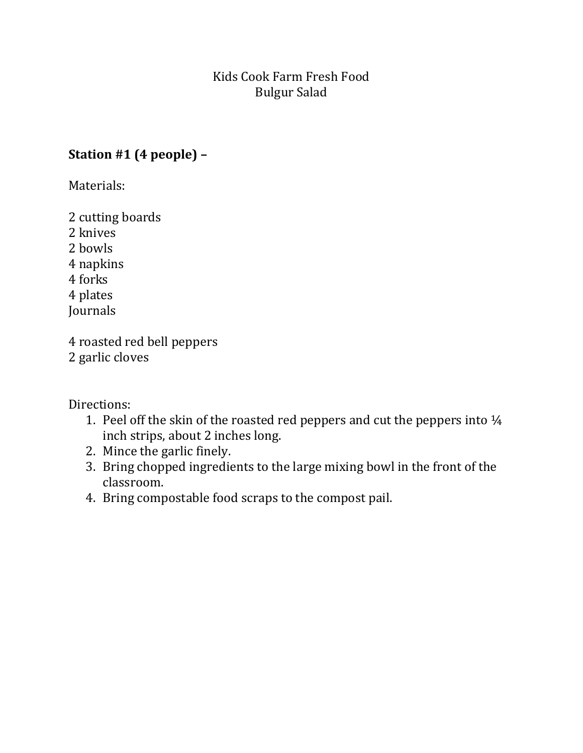## Kids Cook Farm Fresh Food Bulgur Salad

## Station #1 (4 people) –

Materials:

2 cutting boards 2 knives 2 bowls 4 napkins 4 forks 4 plates Journals

4 roasted red bell peppers 2 garlic cloves

Directions:

- 1. Peel off the skin of the roasted red peppers and cut the peppers into ¼ inch strips, about 2 inches long.
- 2. Mince the garlic finely.
- 3. Bring chopped ingredients to the large mixing bowl in the front of the classroom.
- 4. Bring compostable food scraps to the compost pail.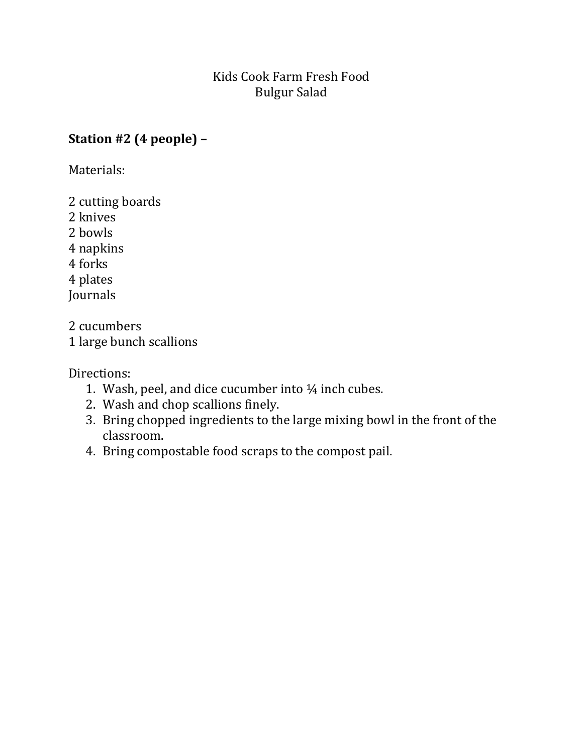## Kids Cook Farm Fresh Food Bulgur Salad

## Station #2 (4 people) –

Materials:

2 cutting boards

2 knives

2 bowls

4 napkins

4 forks

4 plates

Journals

2 cucumbers

1 large bunch scallions

Directions:

- 1. Wash, peel, and dice cucumber into ¼ inch cubes.
- 2. Wash and chop scallions finely.
- 3. Bring chopped ingredients to the large mixing bowl in the front of the classroom.
- 4. Bring compostable food scraps to the compost pail.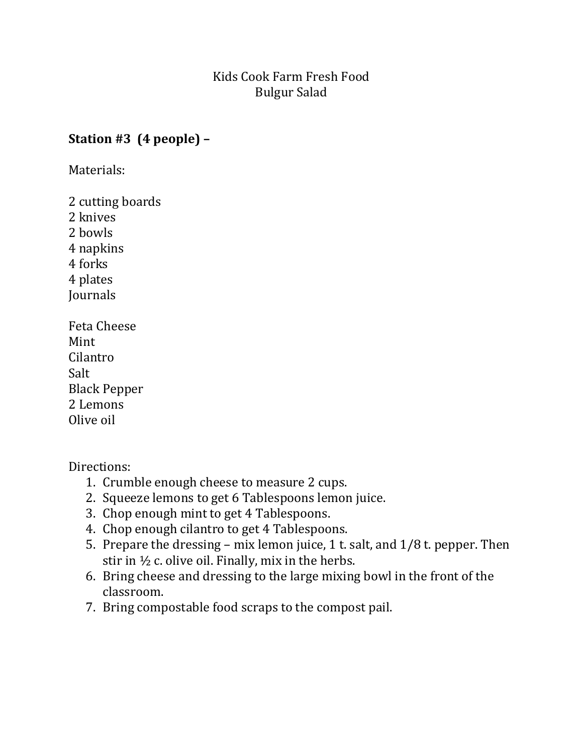## Kids Cook Farm Fresh Food Bulgur Salad

## Station #3 (4 people) –

Materials:

2 cutting boards 2 knives 2 bowls 4 napkins 4 forks 4 plates **Journals** Feta Cheese Mint Cilantro Salt Black Pepper

2 Lemons Olive oil

Directions:

- 1. Crumble enough cheese to measure 2 cups.
- 2. Squeeze lemons to get 6 Tablespoons lemon juice.
- 3. Chop enough mint to get 4 Tablespoons.
- 4. Chop enough cilantro to get 4 Tablespoons.
- 5. Prepare the dressing mix lemon juice, 1 t. salt, and 1/8 t. pepper. Then stir in ½ c. olive oil. Finally, mix in the herbs.
- 6. Bring cheese and dressing to the large mixing bowl in the front of the classroom.
- 7. Bring compostable food scraps to the compost pail.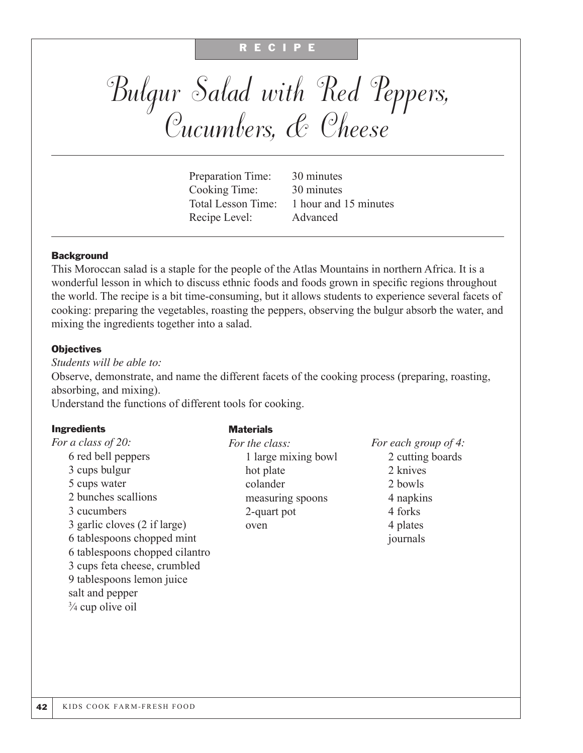#### R E C I P E

# Bulgur Salad with Red Peppers, Cucumbers, & Cheese

Preparation Time: 30 minutes Cooking Time: 30 minutes Recipe Level: Advanced

Total Lesson Time: 1 hour and 15 minutes

#### **Background**

This Moroccan salad is a staple for the people of the Atlas Mountains in northern Africa. It is a wonderful lesson in which to discuss ethnic foods and foods grown in specific regions throughout the world. The recipe is a bit time-consuming, but it allows students to experience several facets of cooking: preparing the vegetables, roasting the peppers, observing the bulgur absorb the water, and mixing the ingredients together into a salad.

#### **Objectives**

*Students will be able to:* Observe, demonstrate, and name the different facets of the cooking process (preparing, roasting, absorbing, and mixing). Understand the functions of different tools for cooking.

#### Ingredients **Materials**

| <i>For a class of 20:</i>      | For the class:      | For each grou |
|--------------------------------|---------------------|---------------|
| 6 red bell peppers             | 1 large mixing bowl | 2 cutting     |
| 3 cups bulgur                  | hot plate           | 2 knives      |
| 5 cups water                   | colander            | 2 bowls       |
| 2 bunches scallions            | measuring spoons    | 4 napkins     |
| 3 cucumbers                    | 2-quart pot         | 4 forks       |
| 3 garlic cloves (2 if large)   | oven                | 4 plates      |
| 6 tablespoons chopped mint     |                     | journals      |
| 6 tablespoons chopped cilantro |                     |               |
| 3 cups feta cheese, crumbled   |                     |               |
| 9 tablespoons lemon juice      |                     |               |
| salt and pepper                |                     |               |
| $\frac{3}{4}$ cup olive oil    |                     |               |

*For each group of 4:* owl 2 cutting boards